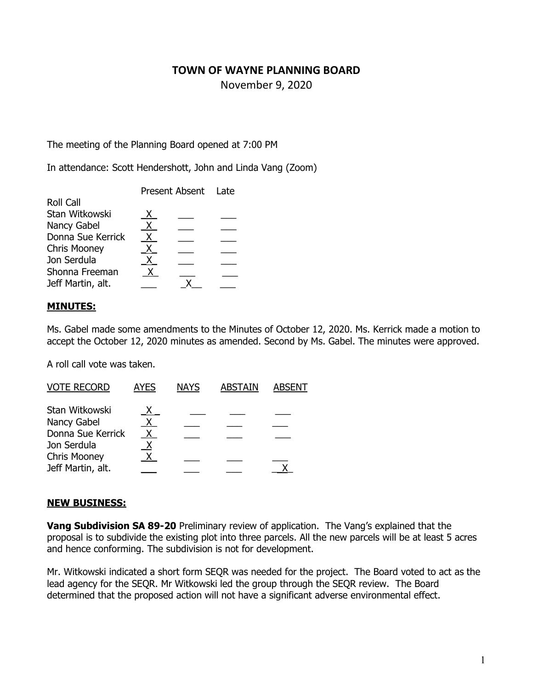## **TOWN OF WAYNE PLANNING BOARD**

November 9, 2020

The meeting of the Planning Board opened at 7:00 PM

In attendance: Scott Hendershott, John and Linda Vang (Zoom)

|                     | Present Absent Late |  |  |
|---------------------|---------------------|--|--|
| <b>Roll Call</b>    |                     |  |  |
| Stan Witkowski      | X.                  |  |  |
| Nancy Gabel         | X.                  |  |  |
| Donna Sue Kerrick   | X.                  |  |  |
| <b>Chris Mooney</b> | X.                  |  |  |
| Jon Serdula         | x.                  |  |  |
| Shonna Freeman      |                     |  |  |
| Jeff Martin, alt.   |                     |  |  |
|                     |                     |  |  |

## **MINUTES:**

Ms. Gabel made some amendments to the Minutes of October 12, 2020. Ms. Kerrick made a motion to accept the October 12, 2020 minutes as amended. Second by Ms. Gabel. The minutes were approved.

A roll call vote was taken.

| <b>VOTE RECORD</b>  | AYES | <b>NAYS</b> | ABSTAIN | <b>ARSFNT</b> |
|---------------------|------|-------------|---------|---------------|
| Stan Witkowski      |      |             |         |               |
| Nancy Gabel         | X.   |             |         |               |
| Donna Sue Kerrick   | X.   |             |         |               |
| Jon Serdula         |      |             |         |               |
| <b>Chris Mooney</b> |      |             |         |               |
| Jeff Martin, alt.   |      |             |         |               |

## **NEW BUSINESS:**

**Vang Subdivision SA 89-20** Preliminary review of application. The Vang's explained that the proposal is to subdivide the existing plot into three parcels. All the new parcels will be at least 5 acres and hence conforming. The subdivision is not for development.

Mr. Witkowski indicated a short form SEQR was needed for the project. The Board voted to act as the lead agency for the SEQR. Mr Witkowski led the group through the SEQR review. The Board determined that the proposed action will not have a significant adverse environmental effect.